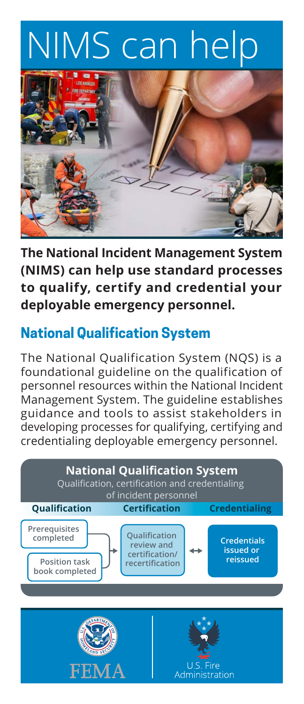## NIMS can help



**The National Incident Management System (NIMS) can help use standard processes to qualify, certify and credential your deployable emergency personnel.**

## **National Qualification System**

The National Qualification System (NQS) is a foundational guideline on the qualification of personnel resources within the National Incident Management System. The guideline establishes guidance and tools to assist stakeholders in developing processes for qualifying, certifying and credentialing deployable emergency personnel.